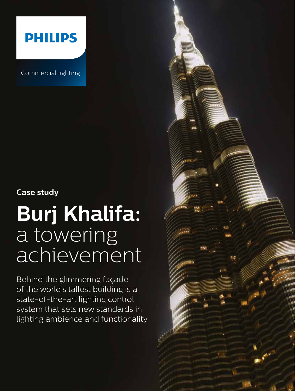

Commercial lighting

## **Case study**

# **Burj Khalifa:** a towering achievement

Behind the glimmering façade of the world's tallest building is a state-of-the-art lighting control system that sets new standards in lighting ambience and functionality.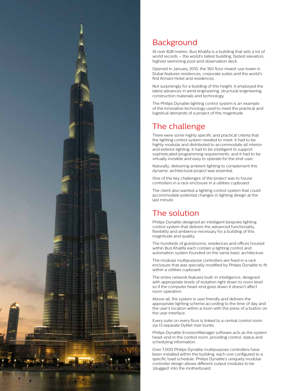

## **Background**

At over 828 metres, Burj Khalifa is a building that sets a lot of world records – the world's tallest building, fastest elevators, highest swimming pool and observation deck.

Opened in January 2010, the 160 floor mixed-use tower in Dubai features residences, corporate suites and the world's first Armani Hotel and residences.

Not surprisingly for a building of this height, it employed the latest advances in wind engineering, structural engineering, construction materials and technology.

The Philips Dynalite lighting control system is an example of the innovative technology used to meet the practical and logistical demands of a project of this magnitude.

#### The challenge

There were some highly specific and practical criteria that the lighting control system needed to meet: it had to be highly modular and distributed to accommodate all interior and exterior lighting; it had to be intelligent to support sophisticated programming requirements; and it had to be virtually invisible and easy to operate for the end-user.

Naturally, delivering ambient lighting to complement this dynamic architectural project was essential.

One of the key challenges of the project was to house controllers in a rack enclosure in a utilities cupboard.

The client also wanted a lighting control system that could accommodate potential changes in lighting design at the last minute.

## The solution

Philips Dynalite designed an intelligent bespoke lighting control system that delivers the advanced functionality, flexibility and ambience necessary for a building of this magnitude and quality.

The hundreds of guestrooms, residences and offices housed within Burj Khalifa each contain a lighting control and automation system founded on the same basic architecture.

The modular multipurpose controllers are fixed in a rack enclosure that was specially modified by Philips Dynalite to fit within a utilities cupboard.

The entire network features built-in intelligence, designed with appropriate levels of isolation right down to room level so if the computer head-end goes down it doesn't affect room operation.

Above all, the system is user friendly and delivers the appropriate lighting scheme according to the time of day and the user's location within a room with the press of a button on the user interface.

Every suite on every floor is linked to a central control room via 13 separate DyNet riser trunks.

Philips Dynalite EnvisionManager software acts as the system head-end in the control room, providing control, status and scheduling information.

Over 7,000 Philips Dynalite multipurpose controllers have been installed within the building, each one configured to a specific load schedule. Philips Dynalite's uniquely modular controller design allows different output modules to be 'plugged' into the motherboard.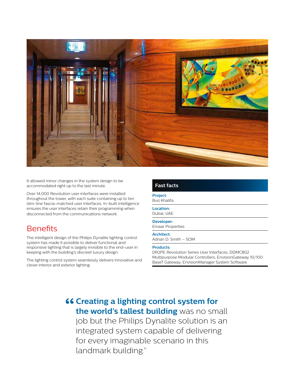

It allowed minor changes in the system design to be accommodated right up to the last minute.

Over 14,000 Revolution user interfaces were installed throughout the tower, with each suite containing up to ten slim-line fascia-matched user interfaces. In-built intelligence ensures the user interfaces retain their programming when disconnected from the communications network.

#### **Benefits**

The intelligent design of the Philips Dynalite lighting control system has made it possible to deliver functional and responsive lighting that is largely invisible to the end-user in keeping with the building's discreet luxury design.

The lighting control system seamlessly delivers innovative and clever interior and exterior lighting.

#### **Fast facts**

**Project:** Burj Khalifa

**Location:** Dubai, UAE

**Developer:** Emaar Properties

**Architect:**

Adrian D. Smith – SOM

#### **Products:**

DR2PE Revolution Series User Interfaces, DDMC802 Multipurpose Modular Controllers, EnvisionGateway 10/100 BaseT Gateway, EnvisionManager System Software

**"Creating a lighting control system for the world's tallest building** was no small job but the Philips Dynalite solution is an integrated system capable of delivering for every imaginable scenario in this landmark building."